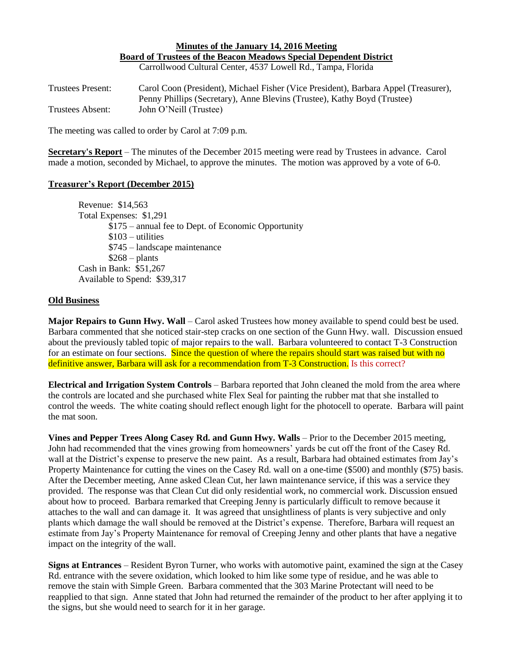## **Minutes of the January 14, 2016 Meeting Board of Trustees of the Beacon Meadows Special Dependent District**

Carrollwood Cultural Center, 4537 Lowell Rd., Tampa, Florida

Trustees Present: Carol Coon (President), Michael Fisher (Vice President), Barbara Appel (Treasurer), Penny Phillips (Secretary), Anne Blevins (Trustee), Kathy Boyd (Trustee) Trustees Absent: John O'Neill (Trustee)

The meeting was called to order by Carol at 7:09 p.m.

**Secretary's Report** – The minutes of the December 2015 meeting were read by Trustees in advance. Carol made a motion, seconded by Michael, to approve the minutes. The motion was approved by a vote of 6-0.

## **Treasurer's Report (December 2015)**

Revenue: \$14,563 Total Expenses: \$1,291 \$175 – annual fee to Dept. of Economic Opportunity  $$103 - utilities$ \$745 – landscape maintenance  $$268$  – plants Cash in Bank: \$51,267 Available to Spend: \$39,317

## **Old Business**

**Major Repairs to Gunn Hwy. Wall** – Carol asked Trustees how money available to spend could best be used. Barbara commented that she noticed stair-step cracks on one section of the Gunn Hwy. wall. Discussion ensued about the previously tabled topic of major repairs to the wall. Barbara volunteered to contact T-3 Construction for an estimate on four sections. Since the question of where the repairs should start was raised but with no definitive answer, Barbara will ask for a recommendation from T-3 Construction. Is this correct?

**Electrical and Irrigation System Controls** – Barbara reported that John cleaned the mold from the area where the controls are located and she purchased white Flex Seal for painting the rubber mat that she installed to control the weeds. The white coating should reflect enough light for the photocell to operate. Barbara will paint the mat soon.

**Vines and Pepper Trees Along Casey Rd. and Gunn Hwy. Walls** – Prior to the December 2015 meeting, John had recommended that the vines growing from homeowners' yards be cut off the front of the Casey Rd. wall at the District's expense to preserve the new paint. As a result, Barbara had obtained estimates from Jay's Property Maintenance for cutting the vines on the Casey Rd. wall on a one-time (\$500) and monthly (\$75) basis. After the December meeting, Anne asked Clean Cut, her lawn maintenance service, if this was a service they provided. The response was that Clean Cut did only residential work, no commercial work. Discussion ensued about how to proceed. Barbara remarked that Creeping Jenny is particularly difficult to remove because it attaches to the wall and can damage it. It was agreed that unsightliness of plants is very subjective and only plants which damage the wall should be removed at the District's expense. Therefore, Barbara will request an estimate from Jay's Property Maintenance for removal of Creeping Jenny and other plants that have a negative impact on the integrity of the wall.

**Signs at Entrances** – Resident Byron Turner, who works with automotive paint, examined the sign at the Casey Rd. entrance with the severe oxidation, which looked to him like some type of residue, and he was able to remove the stain with Simple Green. Barbara commented that the 303 Marine Protectant will need to be reapplied to that sign. Anne stated that John had returned the remainder of the product to her after applying it to the signs, but she would need to search for it in her garage.